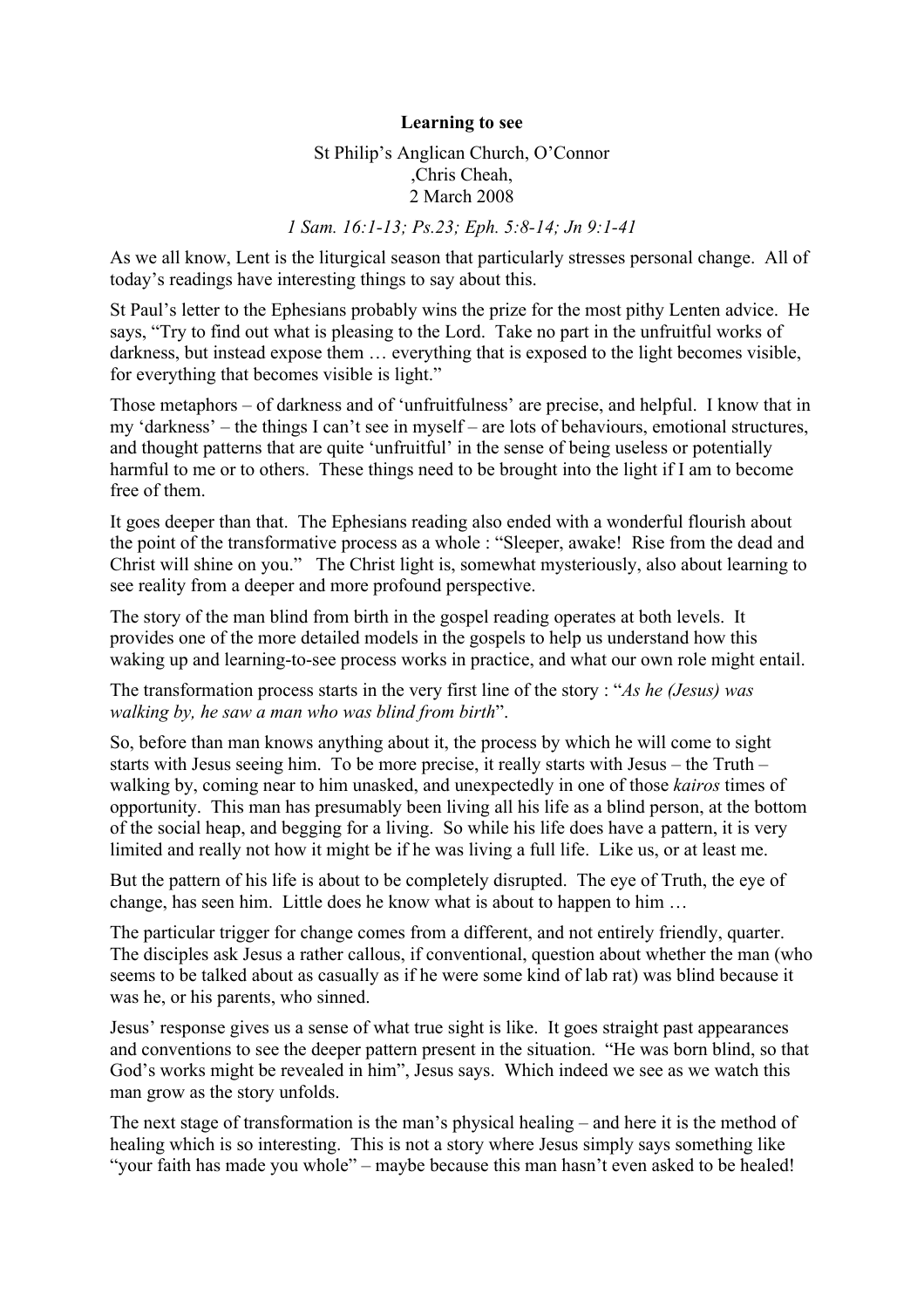## **Learning to see**

## St Philip's Anglican Church, O'Connor ,Chris Cheah, 2 March 2008

## *1 Sam. 16:1-13; Ps.23; Eph. 5:8-14; Jn 9:1-41*

As we all know, Lent is the liturgical season that particularly stresses personal change. All of today's readings have interesting things to say about this.

St Paul's letter to the Ephesians probably wins the prize for the most pithy Lenten advice. He says, "Try to find out what is pleasing to the Lord. Take no part in the unfruitful works of darkness, but instead expose them … everything that is exposed to the light becomes visible, for everything that becomes visible is light."

Those metaphors – of darkness and of 'unfruitfulness' are precise, and helpful. I know that in my 'darkness' – the things I can't see in myself – are lots of behaviours, emotional structures, and thought patterns that are quite 'unfruitful' in the sense of being useless or potentially harmful to me or to others. These things need to be brought into the light if I am to become free of them.

It goes deeper than that. The Ephesians reading also ended with a wonderful flourish about the point of the transformative process as a whole : "Sleeper, awake! Rise from the dead and Christ will shine on you." The Christ light is, somewhat mysteriously, also about learning to see reality from a deeper and more profound perspective.

The story of the man blind from birth in the gospel reading operates at both levels. It provides one of the more detailed models in the gospels to help us understand how this waking up and learning-to-see process works in practice, and what our own role might entail.

The transformation process starts in the very first line of the story : "*As he (Jesus) was walking by, he saw a man who was blind from birth*".

So, before than man knows anything about it, the process by which he will come to sight starts with Jesus seeing him. To be more precise, it really starts with Jesus – the Truth – walking by, coming near to him unasked, and unexpectedly in one of those *kairos* times of opportunity. This man has presumably been living all his life as a blind person, at the bottom of the social heap, and begging for a living. So while his life does have a pattern, it is very limited and really not how it might be if he was living a full life. Like us, or at least me.

But the pattern of his life is about to be completely disrupted. The eye of Truth, the eye of change, has seen him. Little does he know what is about to happen to him …

The particular trigger for change comes from a different, and not entirely friendly, quarter. The disciples ask Jesus a rather callous, if conventional, question about whether the man (who seems to be talked about as casually as if he were some kind of lab rat) was blind because it was he, or his parents, who sinned.

Jesus' response gives us a sense of what true sight is like. It goes straight past appearances and conventions to see the deeper pattern present in the situation. "He was born blind, so that God's works might be revealed in him", Jesus says. Which indeed we see as we watch this man grow as the story unfolds.

The next stage of transformation is the man's physical healing – and here it is the method of healing which is so interesting. This is not a story where Jesus simply says something like "your faith has made you whole" – maybe because this man hasn't even asked to be healed!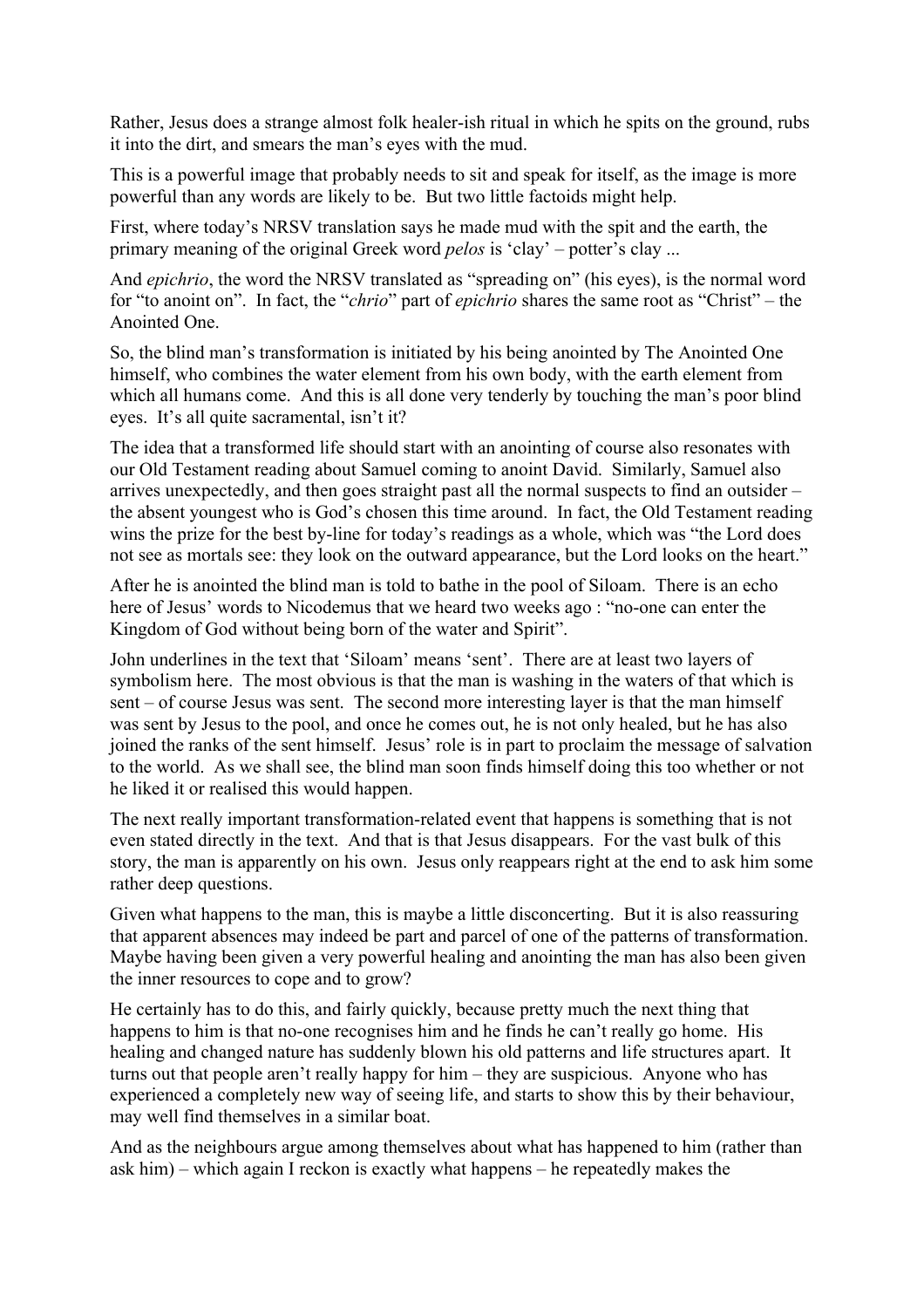Rather, Jesus does a strange almost folk healer-ish ritual in which he spits on the ground, rubs it into the dirt, and smears the man's eyes with the mud.

This is a powerful image that probably needs to sit and speak for itself, as the image is more powerful than any words are likely to be. But two little factoids might help.

First, where today's NRSV translation says he made mud with the spit and the earth, the primary meaning of the original Greek word *pelos* is 'clay' – potter's clay ...

And *epichrio*, the word the NRSV translated as "spreading on" (his eyes), is the normal word for "to anoint on". In fact, the "*chrio*" part of *epichrio* shares the same root as "Christ" – the Anointed One.

So, the blind man's transformation is initiated by his being anointed by The Anointed One himself, who combines the water element from his own body, with the earth element from which all humans come. And this is all done very tenderly by touching the man's poor blind eyes. It's all quite sacramental, isn't it?

The idea that a transformed life should start with an anointing of course also resonates with our Old Testament reading about Samuel coming to anoint David. Similarly, Samuel also arrives unexpectedly, and then goes straight past all the normal suspects to find an outsider – the absent youngest who is God's chosen this time around. In fact, the Old Testament reading wins the prize for the best by-line for today's readings as a whole, which was "the Lord does not see as mortals see: they look on the outward appearance, but the Lord looks on the heart."

After he is anointed the blind man is told to bathe in the pool of Siloam. There is an echo here of Jesus' words to Nicodemus that we heard two weeks ago : "no-one can enter the Kingdom of God without being born of the water and Spirit".

John underlines in the text that 'Siloam' means 'sent'. There are at least two layers of symbolism here. The most obvious is that the man is washing in the waters of that which is sent – of course Jesus was sent. The second more interesting layer is that the man himself was sent by Jesus to the pool, and once he comes out, he is not only healed, but he has also joined the ranks of the sent himself. Jesus' role is in part to proclaim the message of salvation to the world. As we shall see, the blind man soon finds himself doing this too whether or not he liked it or realised this would happen.

The next really important transformation-related event that happens is something that is not even stated directly in the text. And that is that Jesus disappears. For the vast bulk of this story, the man is apparently on his own. Jesus only reappears right at the end to ask him some rather deep questions.

Given what happens to the man, this is maybe a little disconcerting. But it is also reassuring that apparent absences may indeed be part and parcel of one of the patterns of transformation. Maybe having been given a very powerful healing and anointing the man has also been given the inner resources to cope and to grow?

He certainly has to do this, and fairly quickly, because pretty much the next thing that happens to him is that no-one recognises him and he finds he can't really go home. His healing and changed nature has suddenly blown his old patterns and life structures apart. It turns out that people aren't really happy for him – they are suspicious. Anyone who has experienced a completely new way of seeing life, and starts to show this by their behaviour, may well find themselves in a similar boat.

And as the neighbours argue among themselves about what has happened to him (rather than ask him) – which again I reckon is exactly what happens – he repeatedly makes the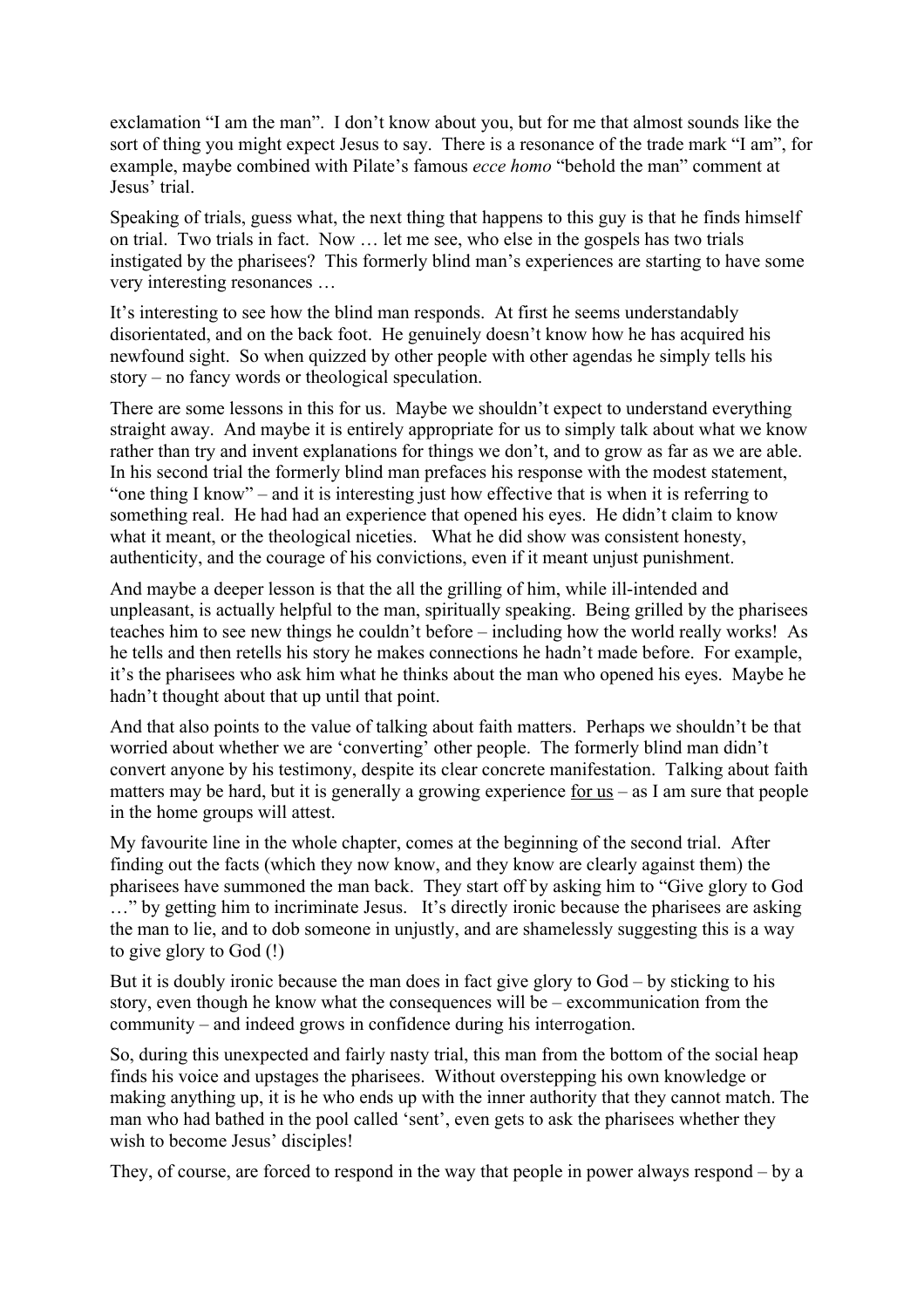exclamation "I am the man". I don't know about you, but for me that almost sounds like the sort of thing you might expect Jesus to say. There is a resonance of the trade mark "I am", for example, maybe combined with Pilate's famous *ecce homo* "behold the man" comment at Jesus' trial.

Speaking of trials, guess what, the next thing that happens to this guy is that he finds himself on trial. Two trials in fact. Now … let me see, who else in the gospels has two trials instigated by the pharisees? This formerly blind man's experiences are starting to have some very interesting resonances …

It's interesting to see how the blind man responds. At first he seems understandably disorientated, and on the back foot. He genuinely doesn't know how he has acquired his newfound sight. So when quizzed by other people with other agendas he simply tells his story – no fancy words or theological speculation.

There are some lessons in this for us. Maybe we shouldn't expect to understand everything straight away. And maybe it is entirely appropriate for us to simply talk about what we know rather than try and invent explanations for things we don't, and to grow as far as we are able. In his second trial the formerly blind man prefaces his response with the modest statement, "one thing I know" – and it is interesting just how effective that is when it is referring to something real. He had had an experience that opened his eyes. He didn't claim to know what it meant, or the theological niceties. What he did show was consistent honesty, authenticity, and the courage of his convictions, even if it meant unjust punishment.

And maybe a deeper lesson is that the all the grilling of him, while ill-intended and unpleasant, is actually helpful to the man, spiritually speaking. Being grilled by the pharisees teaches him to see new things he couldn't before – including how the world really works! As he tells and then retells his story he makes connections he hadn't made before. For example, it's the pharisees who ask him what he thinks about the man who opened his eyes. Maybe he hadn't thought about that up until that point.

And that also points to the value of talking about faith matters. Perhaps we shouldn't be that worried about whether we are 'converting' other people. The formerly blind man didn't convert anyone by his testimony, despite its clear concrete manifestation. Talking about faith matters may be hard, but it is generally a growing experience for us – as I am sure that people in the home groups will attest.

My favourite line in the whole chapter, comes at the beginning of the second trial. After finding out the facts (which they now know, and they know are clearly against them) the pharisees have summoned the man back. They start off by asking him to "Give glory to God …" by getting him to incriminate Jesus. It's directly ironic because the pharisees are asking the man to lie, and to dob someone in unjustly, and are shamelessly suggesting this is a way to give glory to God (!)

But it is doubly ironic because the man does in fact give glory to God – by sticking to his story, even though he know what the consequences will be – excommunication from the community – and indeed grows in confidence during his interrogation.

So, during this unexpected and fairly nasty trial, this man from the bottom of the social heap finds his voice and upstages the pharisees. Without overstepping his own knowledge or making anything up, it is he who ends up with the inner authority that they cannot match. The man who had bathed in the pool called 'sent', even gets to ask the pharisees whether they wish to become Jesus' disciples!

They, of course, are forced to respond in the way that people in power always respond – by a